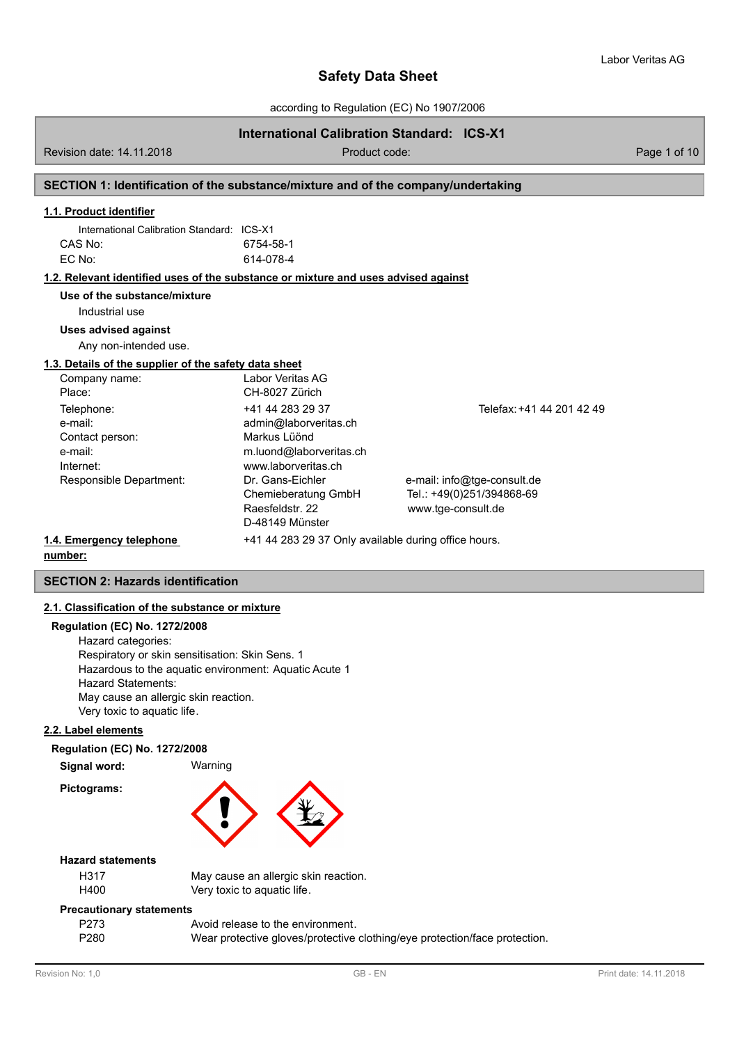according to Regulation (EC) No 1907/2006

# **International Calibration Standard: ICS-X1**

Revision date: 14.11.2018 Product code: Page 1 of 10

### **SECTION 1: Identification of the substance/mixture and of the company/undertaking**

# **1.1. Product identifier**

| International Calibration Standard: ICS-X1 |           |
|--------------------------------------------|-----------|
| CAS No:                                    | 6754-58-1 |
| EC No:                                     | 614-078-4 |

#### **1.2. Relevant identified uses of the substance or mixture and uses advised against**

**Use of the substance/mixture**

Industrial use

#### **Uses advised against**

Any non-intended use.

### **1.3. Details of the supplier of the safety data sheet**

| Company name:            | Labor Veritas AG                                     |                             |
|--------------------------|------------------------------------------------------|-----------------------------|
| Place:                   | CH-8027 Zürich                                       |                             |
| Telephone:               | +41 44 283 29 37                                     | Telefax: +41 44 201 42 49   |
| e-mail:                  | admin@laborveritas.ch                                |                             |
| Contact person:          | Markus Lüönd                                         |                             |
| e-mail:                  | m.luond@laborveritas.ch                              |                             |
| Internet:                | www.laborveritas.ch                                  |                             |
| Responsible Department:  | Dr. Gans-Eichler                                     | e-mail: info@tge-consult.de |
|                          | Chemieberatung GmbH                                  | Tel.: +49(0)251/394868-69   |
|                          | Raesfeldstr, 22                                      | www.tge-consult.de          |
|                          | D-48149 Münster                                      |                             |
| 1.4. Emergency telephone | +41 44 283 29 37 Only available during office hours. |                             |

# **number:**

# **SECTION 2: Hazards identification**

# **2.1. Classification of the substance or mixture**

#### **Regulation (EC) No. 1272/2008**

Hazard categories: Respiratory or skin sensitisation: Skin Sens. 1 Hazardous to the aquatic environment: Aquatic Acute 1 Hazard Statements: May cause an allergic skin reaction. Very toxic to aquatic life.

### **2.2. Label elements**

### **Regulation (EC) No. 1272/2008**

**Signal word:** Warning

**Pictograms:**



#### **Hazard statements**

H317 May cause an allergic skin reaction. H400 Very toxic to aquatic life.

#### **Precautionary statements**

| P273 | Avoid release to the environment.                                          |
|------|----------------------------------------------------------------------------|
| P280 | Wear protective gloves/protective clothing/eye protection/face protection. |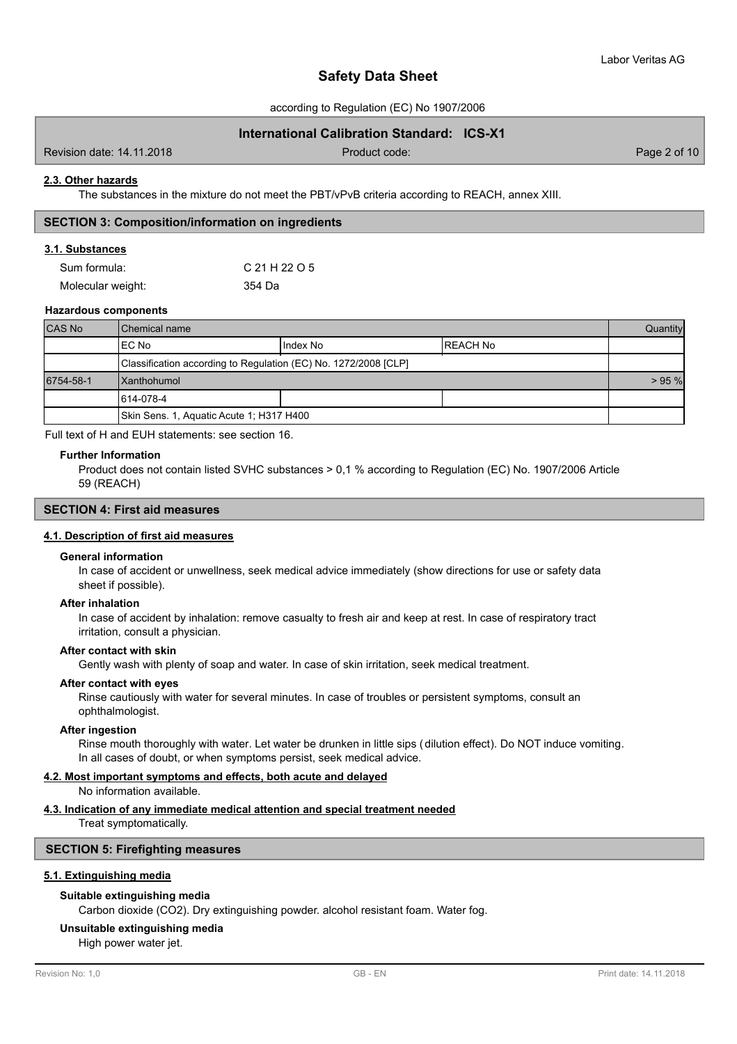according to Regulation (EC) No 1907/2006

# **International Calibration Standard: ICS-X1**

Revision date: 14.11.2018 Product code: Page 2 of 10

#### **2.3. Other hazards**

The substances in the mixture do not meet the PBT/vPvB criteria according to REACH, annex XIII.

### **SECTION 3: Composition/information on ingredients**

### **3.1. Substances**

| Sum formula:      | C 21 H 22 O 5 |
|-------------------|---------------|
| Molecular weight: | 354 Da        |

#### **Hazardous components**

| <b>CAS No</b> | <b>I</b> Chemical name                                          |            | Quantity  |  |
|---------------|-----------------------------------------------------------------|------------|-----------|--|
|               | IEC No                                                          | I Index No | IREACH No |  |
|               | Classification according to Regulation (EC) No. 1272/2008 [CLP] |            |           |  |
| 6754-58-1     | <b>Xanthohumol</b>                                              |            | $> 95 \%$ |  |
|               | 614-078-4                                                       |            |           |  |
|               | Skin Sens. 1, Aquatic Acute 1; H317 H400                        |            |           |  |

Full text of H and EUH statements: see section 16.

#### **Further Information**

Product does not contain listed SVHC substances > 0,1 % according to Regulation (EC) No. 1907/2006 Article 59 (REACH)

# **SECTION 4: First aid measures**

### **4.1. Description of first aid measures**

#### **General information**

In case of accident or unwellness, seek medical advice immediately (show directions for use or safety data sheet if possible).

#### **After inhalation**

In case of accident by inhalation: remove casualty to fresh air and keep at rest. In case of respiratory tract irritation, consult a physician.

### **After contact with skin**

Gently wash with plenty of soap and water. In case of skin irritation, seek medical treatment.

#### **After contact with eyes**

Rinse cautiously with water for several minutes. In case of troubles or persistent symptoms, consult an ophthalmologist.

#### **After ingestion**

Rinse mouth thoroughly with water. Let water be drunken in little sips (dilution effect). Do NOT induce vomiting. In all cases of doubt, or when symptoms persist, seek medical advice.

#### **4.2. Most important symptoms and effects, both acute and delayed**

No information available.

#### **4.3. Indication of any immediate medical attention and special treatment needed**

Treat symptomatically.

#### **SECTION 5: Firefighting measures**

#### **5.1. Extinguishing media**

#### **Suitable extinguishing media**

Carbon dioxide (CO2). Dry extinguishing powder. alcohol resistant foam. Water fog.

#### **Unsuitable extinguishing media**

High power water jet.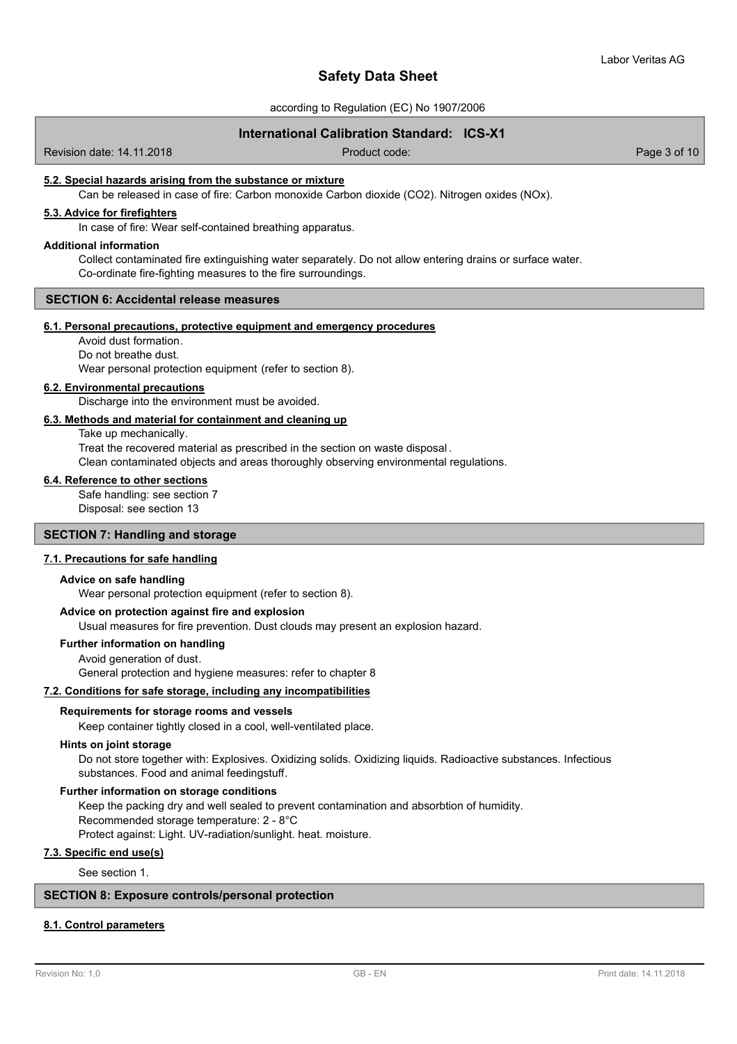according to Regulation (EC) No 1907/2006

# **International Calibration Standard: ICS-X1**

Revision date: 14.11.2018 Product code: Page 3 of 10

### **5.2. Special hazards arising from the substance or mixture**

Can be released in case of fire: Carbon monoxide Carbon dioxide (CO2). Nitrogen oxides (NOx).

# **5.3. Advice for firefighters**

In case of fire: Wear self-contained breathing apparatus.

#### **Additional information**

Collect contaminated fire extinguishing water separately. Do not allow entering drains or surface water. Co-ordinate fire-fighting measures to the fire surroundings.

#### **SECTION 6: Accidental release measures**

# **6.1. Personal precautions, protective equipment and emergency procedures**

Avoid dust formation. Do not breathe dust.

Wear personal protection equipment (refer to section 8).

#### **6.2. Environmental precautions**

Discharge into the environment must be avoided.

#### **6.3. Methods and material for containment and cleaning up**

Take up mechanically. Treat the recovered material as prescribed in the section on waste disposal . Clean contaminated objects and areas thoroughly observing environmental regulations.

#### **6.4. Reference to other sections**

Safe handling: see section 7 Disposal: see section 13

# **SECTION 7: Handling and storage**

#### **7.1. Precautions for safe handling**

#### **Advice on safe handling**

Wear personal protection equipment (refer to section 8).

#### **Advice on protection against fire and explosion**

Usual measures for fire prevention. Dust clouds may present an explosion hazard.

#### **Further information on handling**

Avoid generation of dust. General protection and hygiene measures: refer to chapter 8

#### **7.2. Conditions for safe storage, including any incompatibilities**

#### **Requirements for storage rooms and vessels**

Keep container tightly closed in a cool, well-ventilated place.

#### **Hints on joint storage**

Do not store together with: Explosives. Oxidizing solids. Oxidizing liquids. Radioactive substances. Infectious substances. Food and animal feedingstuff.

# **Further information on storage conditions**

Keep the packing dry and well sealed to prevent contamination and absorbtion of humidity. Recommended storage temperature: 2 - 8°C Protect against: Light. UV-radiation/sunlight. heat. moisture.

### **7.3. Specific end use(s)**

See section 1.

### **SECTION 8: Exposure controls/personal protection**

#### **8.1. Control parameters**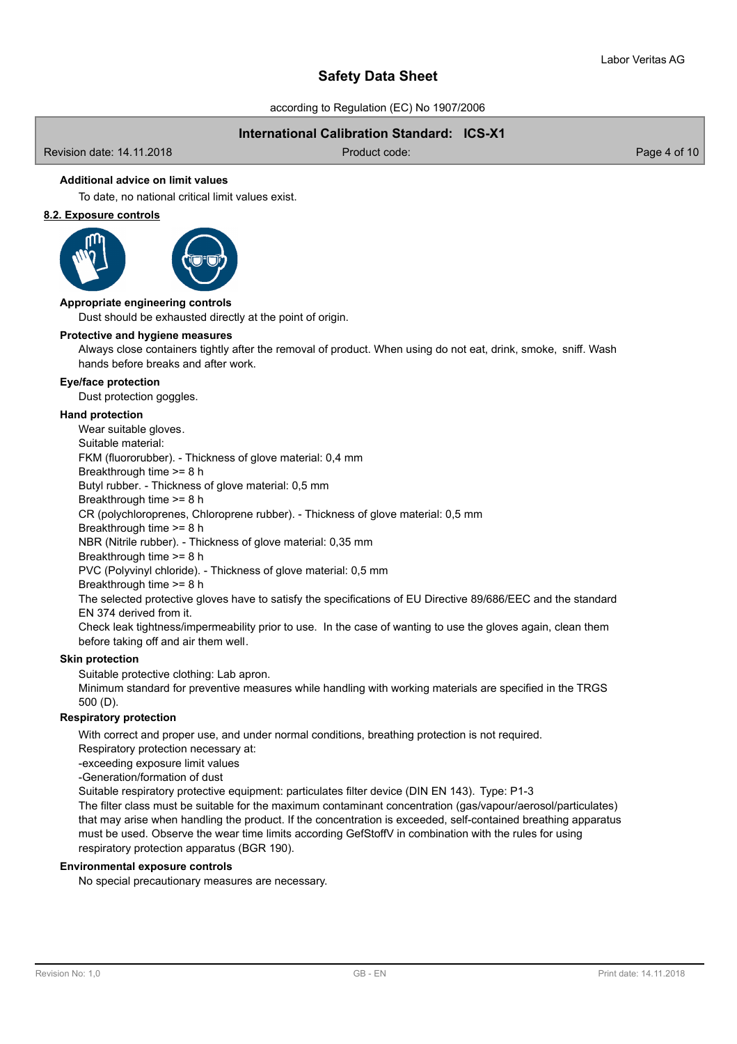according to Regulation (EC) No 1907/2006

# **International Calibration Standard: ICS-X1**

Revision date: 14.11.2018 Product code: Page 4 of 10

# **Additional advice on limit values**

To date, no national critical limit values exist.

# **8.2. Exposure controls**



Dust should be exhausted directly at the point of origin. **Appropriate engineering controls**

#### **Protective and hygiene measures**

Always close containers tightly after the removal of product. When using do not eat, drink, smoke, sniff. Wash hands before breaks and after work.

#### **Eye/face protection**

Dust protection goggles.

#### **Hand protection**

Wear suitable gloves.

Suitable material:

FKM (fluororubber). - Thickness of glove material: 0,4 mm

Breakthrough time >= 8 h

Butyl rubber. - Thickness of glove material: 0,5 mm

Breakthrough time >= 8 h

CR (polychloroprenes, Chloroprene rubber). - Thickness of glove material: 0,5 mm

Breakthrough time >= 8 h

NBR (Nitrile rubber). - Thickness of glove material: 0,35 mm

Breakthrough time >= 8 h

PVC (Polyvinyl chloride). - Thickness of glove material: 0,5 mm

Breakthrough time >= 8 h

The selected protective gloves have to satisfy the specifications of EU Directive 89/686/EEC and the standard EN 374 derived from it.

Check leak tightness/impermeability prior to use. In the case of wanting to use the gloves again, clean them before taking off and air them well.

### **Skin protection**

Suitable protective clothing: Lab apron.

Minimum standard for preventive measures while handling with working materials are specified in the TRGS 500 (D).

#### **Respiratory protection**

With correct and proper use, and under normal conditions, breathing protection is not required.

Respiratory protection necessary at:

-exceeding exposure limit values

-Generation/formation of dust

Suitable respiratory protective equipment: particulates filter device (DIN EN 143). Type: P1-3

The filter class must be suitable for the maximum contaminant concentration (gas/vapour/aerosol/particulates) that may arise when handling the product. If the concentration is exceeded, self-contained breathing apparatus must be used. Observe the wear time limits according GefStoffV in combination with the rules for using respiratory protection apparatus (BGR 190).

#### **Environmental exposure controls**

No special precautionary measures are necessary.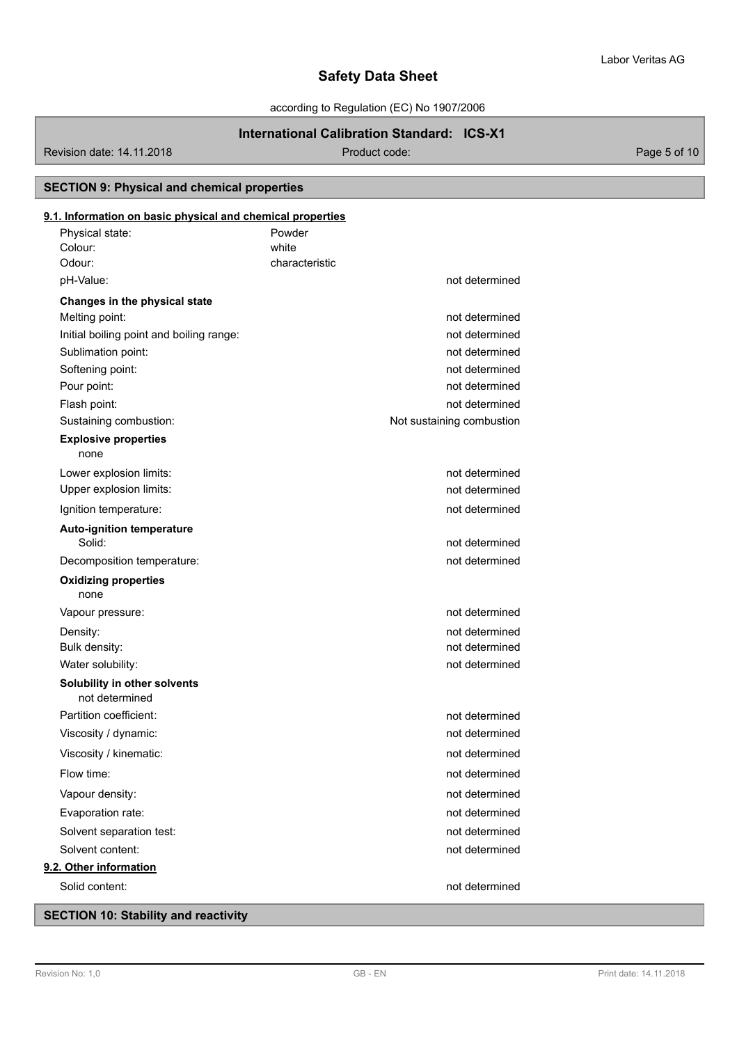according to Regulation (EC) No 1907/2006

# **International Calibration Standard: ICS-X1**

Revision date: 14.11.2018 Product code: Page 5 of 10

**SECTION 9: Physical and chemical properties**

# white Physical state: Powder Colour: **9.1. Information on basic physical and chemical properties** Odour: Characteristic Characteristic pH-Value: not determined **Changes in the physical state** Melting point: not determined Initial boiling point and boiling range: not determined Sublimation point: not determined Softening point: not determined by a state of the state of the state of the state of the state of the state of the state of the state of the state of the state of the state of the state of the state of the state of the sta Pour point: not determined Flash point: not determined by the state of the state of the state of the state of the state of the state of the state of the state of the state of the state of the state of the state of the state of the state of the state Sustaining combustion: Not sustaining combustion in the sustaining combustion in the sustaining combustion none **Explosive properties** Lower explosion limits: not determined Upper explosion limits:  $\blacksquare$ Ignition temperature: not determined **Auto-ignition temperature** Solid: not determined Decomposition temperature: not determined none **Oxidizing properties** Vapour pressure: not determined Density: not determined Bulk density: not determined Water solubility: notice and the solution of the solution of the solution of the solution of the solution of the solution of the solution of the solution of the solution of the solution of the solution of the solution of t **Solubility in other solvents** not determined Partition coefficient: not determined Viscosity / dynamic: not determined Viscosity / kinematic: not determined Flow time: not determined Vapour density:  $\blacksquare$ Evaporation rate: not determined Solvent separation test: not determined Solvent content: not determined **9.2. Other information** Solid content: not determined

# **SECTION 10: Stability and reactivity**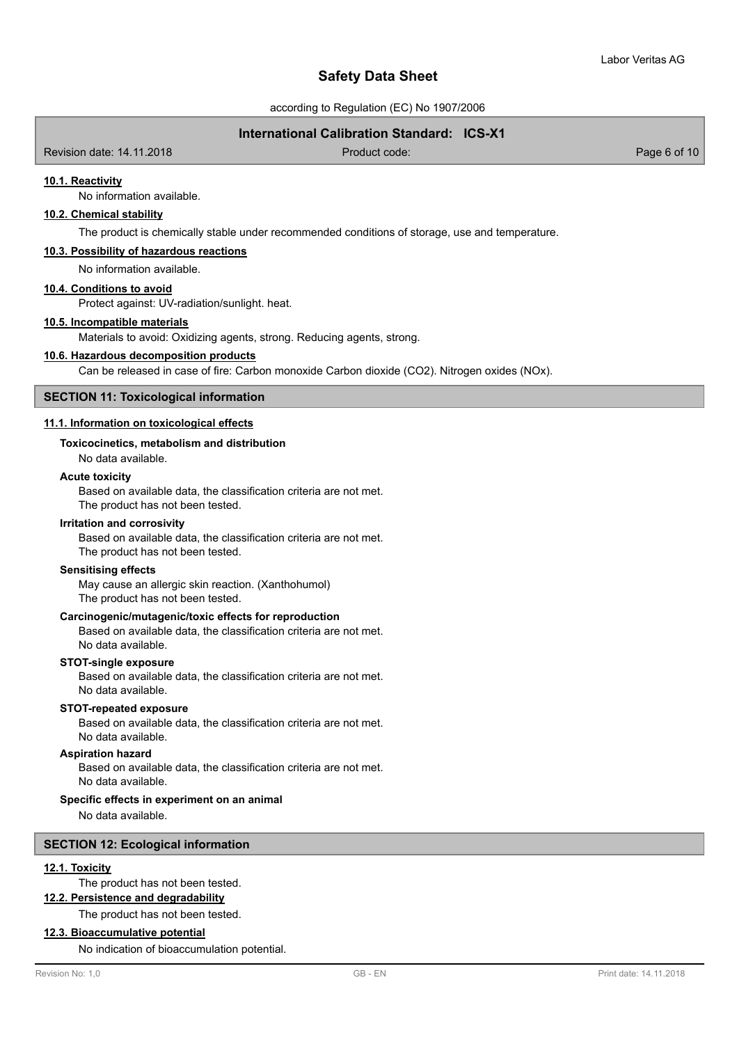according to Regulation (EC) No 1907/2006

# **International Calibration Standard: ICS-X1**

Revision date: 14.11.2018 Product code: Page 6 of 10

### **10.1. Reactivity**

No information available.

# **10.2. Chemical stability**

The product is chemically stable under recommended conditions of storage, use and temperature.

#### **10.3. Possibility of hazardous reactions**

No information available.

#### **10.4. Conditions to avoid**

Protect against: UV-radiation/sunlight. heat.

#### **10.5. Incompatible materials**

Materials to avoid: Oxidizing agents, strong. Reducing agents, strong.

#### **10.6. Hazardous decomposition products**

Can be released in case of fire: Carbon monoxide Carbon dioxide (CO2). Nitrogen oxides (NOx).

### **SECTION 11: Toxicological information**

# **11.1. Information on toxicological effects**

#### **Toxicocinetics, metabolism and distribution**

No data available.

#### **Acute toxicity**

Based on available data, the classification criteria are not met. The product has not been tested.

#### **Irritation and corrosivity**

Based on available data, the classification criteria are not met. The product has not been tested.

#### **Sensitising effects**

May cause an allergic skin reaction. (Xanthohumol) The product has not been tested.

### **Carcinogenic/mutagenic/toxic effects for reproduction**

Based on available data, the classification criteria are not met. No data available.

## **STOT-single exposure**

Based on available data, the classification criteria are not met. No data available.

#### **STOT-repeated exposure**

Based on available data, the classification criteria are not met. No data available.

#### **Aspiration hazard**

Based on available data, the classification criteria are not met. No data available.

#### **Specific effects in experiment on an animal**

No data available.

#### **SECTION 12: Ecological information**

#### **12.1. Toxicity**

The product has not been tested.

# **12.2. Persistence and degradability**

The product has not been tested.

#### **12.3. Bioaccumulative potential**

No indication of bioaccumulation potential.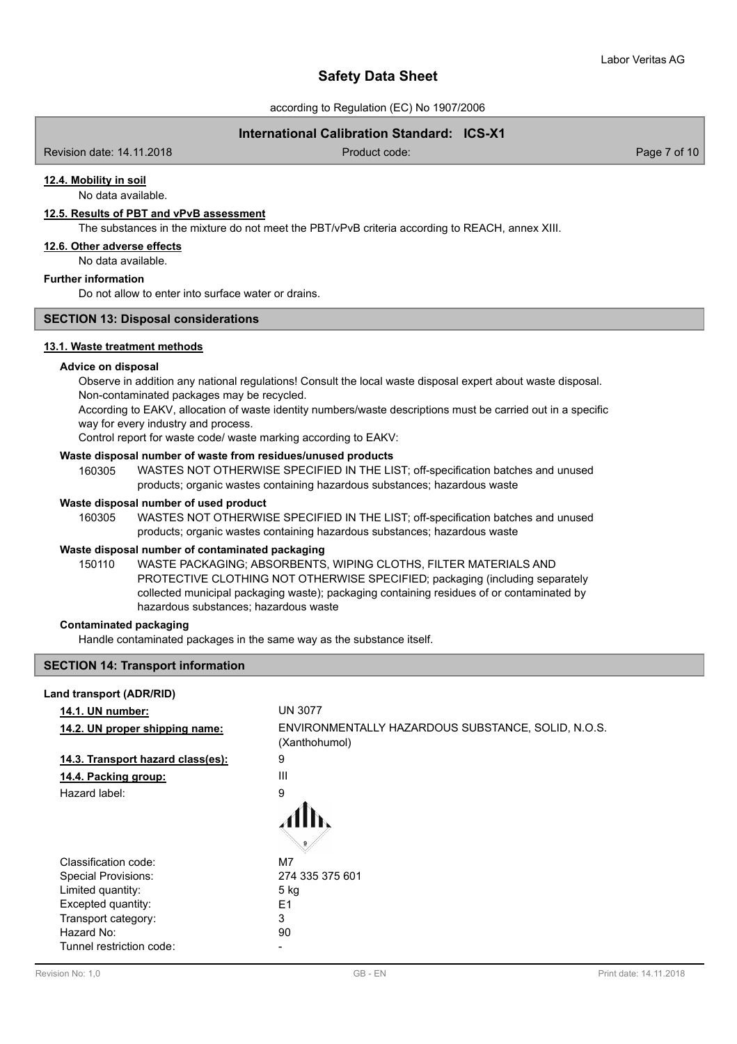according to Regulation (EC) No 1907/2006

# **International Calibration Standard: ICS-X1**

Revision date: 14.11.2018 Product code: Page 7 of 10

# **12.4. Mobility in soil**

No data available.

# **12.5. Results of PBT and vPvB assessment**

The substances in the mixture do not meet the PBT/vPvB criteria according to REACH, annex XIII.

#### **12.6. Other adverse effects**

No data available.

### **Further information**

Do not allow to enter into surface water or drains.

# **SECTION 13: Disposal considerations**

### **13.1. Waste treatment methods**

#### **Advice on disposal**

Observe in addition any national regulations! Consult the local waste disposal expert about waste disposal. Non-contaminated packages may be recycled.

According to EAKV, allocation of waste identity numbers/waste descriptions must be carried out in a specific way for every industry and process.

Control report for waste code/ waste marking according to EAKV:

### **Waste disposal number of waste from residues/unused products**

160305 WASTES NOT OTHERWISE SPECIFIED IN THE LIST; off-specification batches and unused products; organic wastes containing hazardous substances; hazardous waste

#### **Waste disposal number of used product**

WASTES NOT OTHERWISE SPECIFIED IN THE LIST; off-specification batches and unused products; organic wastes containing hazardous substances; hazardous waste 160305

#### **Waste disposal number of contaminated packaging**

WASTE PACKAGING; ABSORBENTS, WIPING CLOTHS, FILTER MATERIALS AND PROTECTIVE CLOTHING NOT OTHERWISE SPECIFIED; packaging (including separately collected municipal packaging waste); packaging containing residues of or contaminated by hazardous substances; hazardous waste 150110

#### **Contaminated packaging**

Handle contaminated packages in the same way as the substance itself.

# **SECTION 14: Transport information**

| Land transport (ADR/RID)          |                                                                     |
|-----------------------------------|---------------------------------------------------------------------|
| <b>14.1. UN number:</b>           | <b>UN 3077</b>                                                      |
| 14.2. UN proper shipping name:    | ENVIRONMENTALLY HAZARDOUS SUBSTANCE, SOLID, N.O.S.<br>(Xanthohumol) |
| 14.3. Transport hazard class(es): | 9                                                                   |
| 14.4. Packing group:              | Ш                                                                   |
| Hazard label:                     | 9                                                                   |
|                                   |                                                                     |
| Classification code:              | M7                                                                  |
| <b>Special Provisions:</b>        | 274 335 375 601                                                     |
| Limited quantity:                 | 5 kg                                                                |
| Excepted quantity:                | E <sub>1</sub>                                                      |
| Transport category:               | 3                                                                   |
| Hazard No:                        | 90                                                                  |
| Tunnel restriction code:          |                                                                     |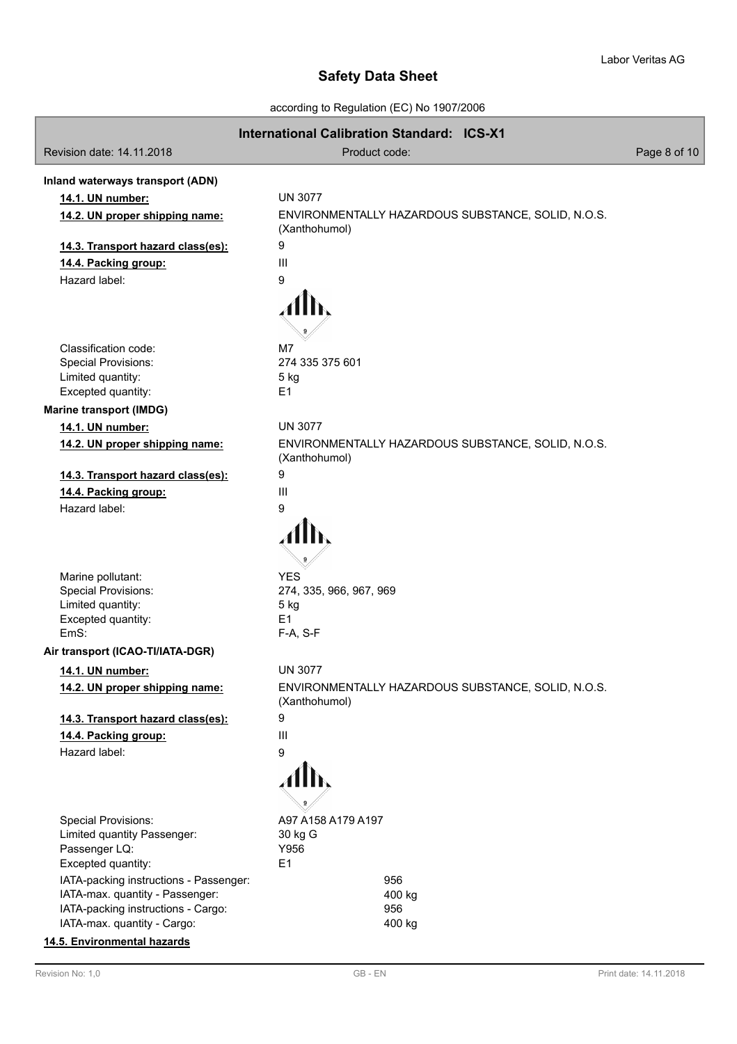according to Regulation (EC) No 1907/2006

|                                                                       | <b>International Calibration Standard: ICS-X1</b>  |              |
|-----------------------------------------------------------------------|----------------------------------------------------|--------------|
| Revision date: 14.11.2018                                             | Product code:                                      | Page 8 of 10 |
| Inland waterways transport (ADN)                                      |                                                    |              |
| 14.1. UN number:                                                      | <b>UN 3077</b>                                     |              |
| 14.2. UN proper shipping name:                                        | ENVIRONMENTALLY HAZARDOUS SUBSTANCE, SOLID, N.O.S. |              |
|                                                                       | (Xanthohumol)                                      |              |
| 14.3. Transport hazard class(es):                                     | 9                                                  |              |
| 14.4. Packing group:                                                  | $\mathbf{III}$                                     |              |
| Hazard label:                                                         | 9                                                  |              |
|                                                                       |                                                    |              |
|                                                                       |                                                    |              |
|                                                                       |                                                    |              |
| Classification code:                                                  | M7                                                 |              |
| <b>Special Provisions:</b>                                            | 274 335 375 601                                    |              |
| Limited quantity:<br>Excepted quantity:                               | 5 kg<br>E1                                         |              |
|                                                                       |                                                    |              |
| <b>Marine transport (IMDG)</b>                                        | <b>UN 3077</b>                                     |              |
| 14.1. UN number:                                                      | ENVIRONMENTALLY HAZARDOUS SUBSTANCE, SOLID, N.O.S. |              |
| 14.2. UN proper shipping name:                                        | (Xanthohumol)                                      |              |
| 14.3. Transport hazard class(es):                                     | 9                                                  |              |
| 14.4. Packing group:                                                  | III                                                |              |
| Hazard label:                                                         | 9                                                  |              |
|                                                                       |                                                    |              |
|                                                                       |                                                    |              |
|                                                                       |                                                    |              |
| Marine pollutant:                                                     | <b>YES</b>                                         |              |
| <b>Special Provisions:</b>                                            | 274, 335, 966, 967, 969                            |              |
| Limited quantity:                                                     | 5 kg                                               |              |
| Excepted quantity:<br>EmS:                                            | E1<br>F-A, S-F                                     |              |
| Air transport (ICAO-TI/IATA-DGR)                                      |                                                    |              |
| 14.1. UN number:                                                      | <b>UN 3077</b>                                     |              |
| 14.2. UN proper shipping name:                                        | ENVIRONMENTALLY HAZARDOUS SUBSTANCE, SOLID, N.O.S. |              |
|                                                                       | (Xanthohumol)                                      |              |
| 14.3. Transport hazard class(es):                                     | 9                                                  |              |
| 14.4. Packing group:                                                  | III                                                |              |
| Hazard label:                                                         | 9                                                  |              |
|                                                                       | Alh                                                |              |
|                                                                       |                                                    |              |
|                                                                       |                                                    |              |
| <b>Special Provisions:</b>                                            | A97 A158 A179 A197                                 |              |
| Limited quantity Passenger:                                           | 30 kg G                                            |              |
| Passenger LQ:                                                         | Y956                                               |              |
| Excepted quantity:                                                    | E1                                                 |              |
| IATA-packing instructions - Passenger:                                | 956                                                |              |
| IATA-max. quantity - Passenger:<br>IATA-packing instructions - Cargo: | 400 kg<br>956                                      |              |
| IATA-max. quantity - Cargo:                                           | 400 kg                                             |              |
| 14.5. Environmental hazards                                           |                                                    |              |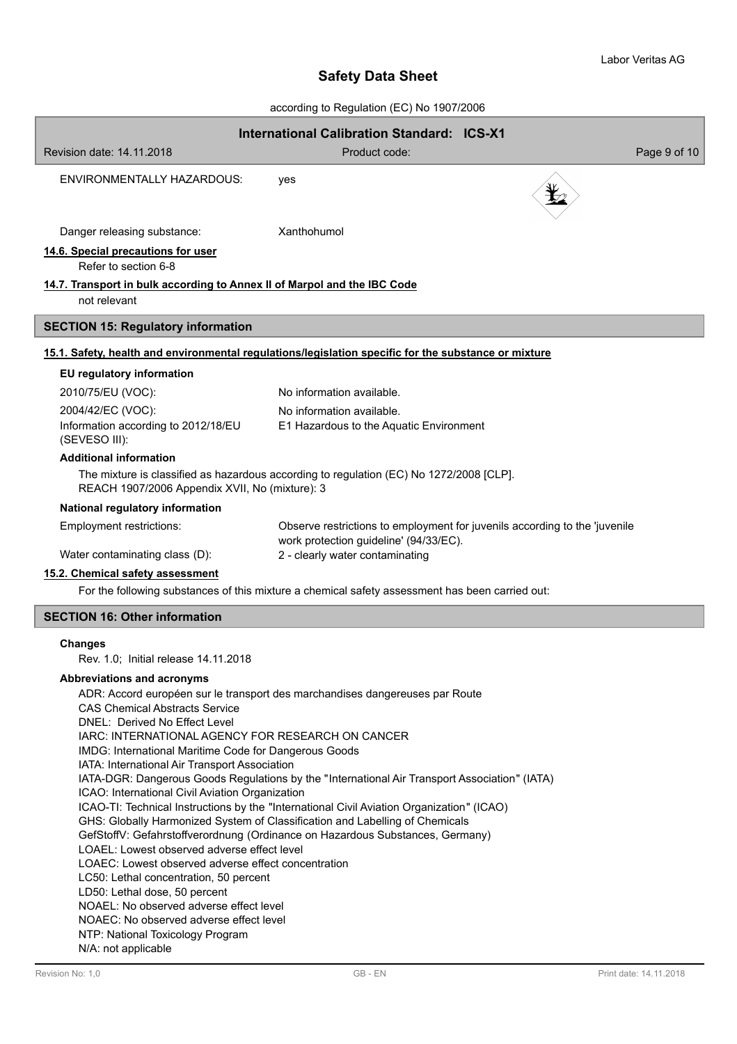according to Regulation (EC) No 1907/2006

|                                                                                                                                                                           | $10000$ and $10000$ and $10000$ and $10000$ and $10000$                   |                                                                            |
|---------------------------------------------------------------------------------------------------------------------------------------------------------------------------|---------------------------------------------------------------------------|----------------------------------------------------------------------------|
| Revision date: 14.11.2018                                                                                                                                                 | <b>International Calibration Standard: ICS-X1</b><br>Product code:        | Page 9 of 10                                                               |
| ENVIRONMENTALLY HAZARDOUS:                                                                                                                                                | yes                                                                       |                                                                            |
| Danger releasing substance:                                                                                                                                               | Xanthohumol                                                               |                                                                            |
| 14.6. Special precautions for user<br>Refer to section 6-8                                                                                                                |                                                                           |                                                                            |
| 14.7. Transport in bulk according to Annex II of Marpol and the IBC Code<br>not relevant                                                                                  |                                                                           |                                                                            |
| <b>SECTION 15: Regulatory information</b>                                                                                                                                 |                                                                           |                                                                            |
| 15.1. Safety, health and environmental regulations/legislation specific for the substance or mixture                                                                      |                                                                           |                                                                            |
| EU regulatory information                                                                                                                                                 |                                                                           |                                                                            |
| 2010/75/EU (VOC):                                                                                                                                                         | No information available.                                                 |                                                                            |
| 2004/42/EC (VOC):                                                                                                                                                         | No information available.                                                 |                                                                            |
| Information according to 2012/18/EU<br>(SEVESO III):                                                                                                                      | E1 Hazardous to the Aquatic Environment                                   |                                                                            |
| <b>Additional information</b>                                                                                                                                             |                                                                           |                                                                            |
| The mixture is classified as hazardous according to regulation (EC) No 1272/2008 [CLP].<br>REACH 1907/2006 Appendix XVII, No (mixture): 3                                 |                                                                           |                                                                            |
| National regulatory information                                                                                                                                           |                                                                           |                                                                            |
| Employment restrictions:<br>Water contaminating class (D):                                                                                                                | work protection guideline' (94/33/EC).<br>2 - clearly water contaminating | Observe restrictions to employment for juvenils according to the 'juvenile |
| 15.2. Chemical safety assessment                                                                                                                                          |                                                                           |                                                                            |
| For the following substances of this mixture a chemical safety assessment has been carried out:                                                                           |                                                                           |                                                                            |
| <b>SECTION 16: Other information</b>                                                                                                                                      |                                                                           |                                                                            |
| <b>Changes</b><br>Rev. 1.0; Initial release 14.11.2018                                                                                                                    |                                                                           |                                                                            |
| Abbreviations and acronyms                                                                                                                                                |                                                                           |                                                                            |
| ADR: Accord européen sur le transport des marchandises dangereuses par Route                                                                                              |                                                                           |                                                                            |
| <b>CAS Chemical Abstracts Service</b><br>DNEL: Derived No Effect Level                                                                                                    |                                                                           |                                                                            |
| IARC: INTERNATIONAL AGENCY FOR RESEARCH ON CANCER                                                                                                                         |                                                                           |                                                                            |
| IMDG: International Maritime Code for Dangerous Goods                                                                                                                     |                                                                           |                                                                            |
| IATA: International Air Transport Association<br>IATA-DGR: Dangerous Goods Regulations by the "International Air Transport Association" (IATA)                            |                                                                           |                                                                            |
| ICAO: International Civil Aviation Organization                                                                                                                           |                                                                           |                                                                            |
| ICAO-TI: Technical Instructions by the "International Civil Aviation Organization" (ICAO)<br>GHS: Globally Harmonized System of Classification and Labelling of Chemicals |                                                                           |                                                                            |
| GefStoffV: Gefahrstoffverordnung (Ordinance on Hazardous Substances, Germany)                                                                                             |                                                                           |                                                                            |
| LOAEL: Lowest observed adverse effect level<br>LOAEC: Lowest observed adverse effect concentration                                                                        |                                                                           |                                                                            |
| LC50: Lethal concentration, 50 percent                                                                                                                                    |                                                                           |                                                                            |
| LD50: Lethal dose, 50 percent                                                                                                                                             |                                                                           |                                                                            |
| NOAEL: No observed adverse effect level<br>NOAEC: No observed adverse effect level                                                                                        |                                                                           |                                                                            |
| NTP: National Toxicology Program                                                                                                                                          |                                                                           |                                                                            |
| N/A: not applicable                                                                                                                                                       |                                                                           |                                                                            |